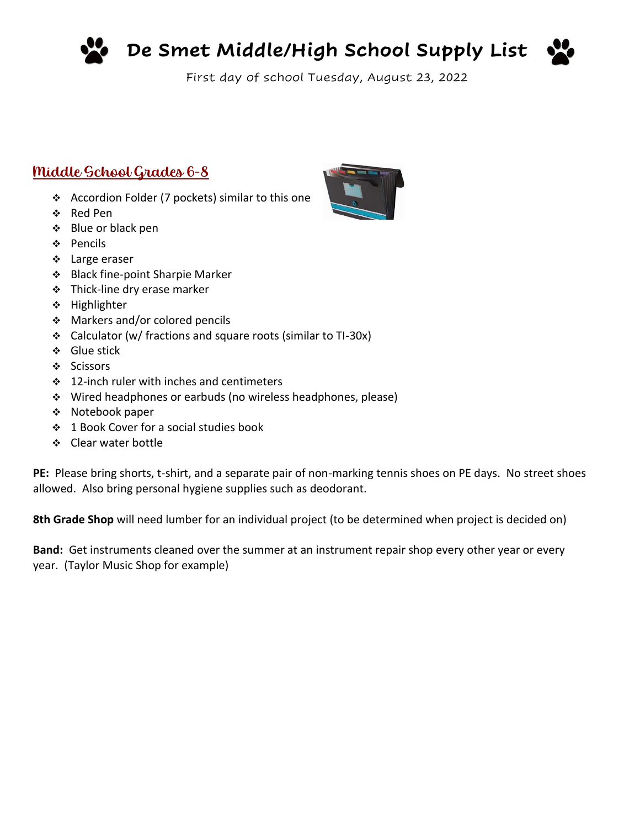

**De Smet Middle/High School Supply List**



First day of school Tuesday, August 23, 2022

# Middle School Grades 6-8

- ❖ Accordion Folder (7 pockets) similar to this one
- ❖ Red Pen
- ❖ Blue or black pen
- ❖ Pencils
- ❖ Large eraser
- ❖ Black fine-point Sharpie Marker
- ❖ Thick-line dry erase marker
- ❖ Highlighter
- ❖ Markers and/or colored pencils
- ❖ Calculator (w/ fractions and square roots (similar to TI-30x)
- ❖ Glue stick
- ❖ Scissors
- ❖ 12-inch ruler with inches and centimeters
- ❖ Wired headphones or earbuds (no wireless headphones, please)
- ❖ Notebook paper
- ❖ 1 Book Cover for a social studies book
- ❖ Clear water bottle

**PE:** Please bring shorts, t-shirt, and a separate pair of non-marking tennis shoes on PE days. No street shoes allowed. Also bring personal hygiene supplies such as deodorant.

**8th Grade Shop** will need lumber for an individual project (to be determined when project is decided on)

**Band:** Get instruments cleaned over the summer at an instrument repair shop every other year or every year. (Taylor Music Shop for example)